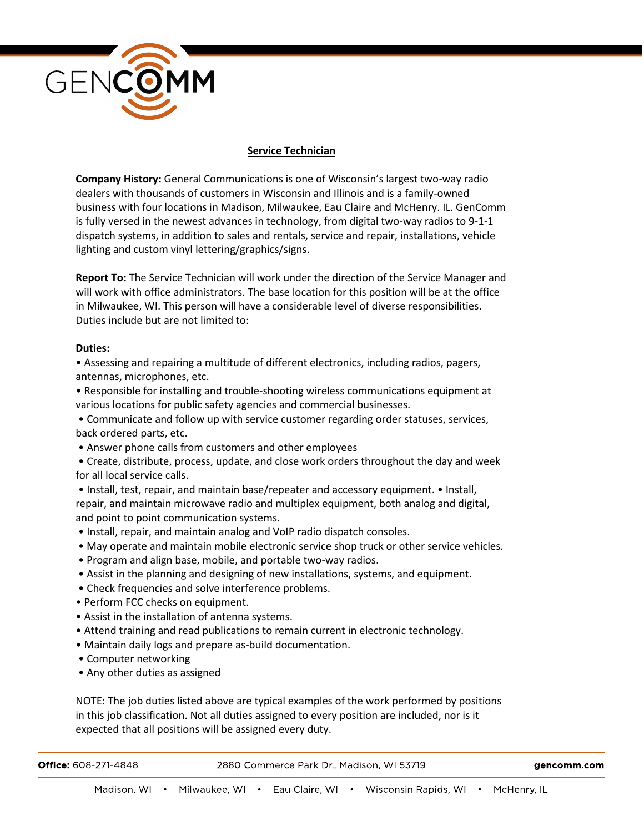

## **Service Technician**

**Company History:** General Communications is one of Wisconsin's largest two-way radio dealers with thousands of customers in Wisconsin and Illinois and is a family-owned business with four locations in Madison, Milwaukee, Eau Claire and McHenry. IL. GenComm is fully versed in the newest advances in technology, from digital two-way radios to 9-1-1 dispatch systems, in addition to sales and rentals, service and repair, installations, vehicle lighting and custom vinyl lettering/graphics/signs.

**Report To:** The Service Technician will work under the direction of the Service Manager and will work with office administrators. The base location for this position will be at the office in Milwaukee, WI. This person will have a considerable level of diverse responsibilities. Duties include but are not limited to:

## **Duties:**

• Assessing and repairing a multitude of different electronics, including radios, pagers, antennas, microphones, etc.

• Responsible for installing and trouble-shooting wireless communications equipment at various locations for public safety agencies and commercial businesses.

• Communicate and follow up with service customer regarding order statuses, services, back ordered parts, etc.

• Answer phone calls from customers and other employees

• Create, distribute, process, update, and close work orders throughout the day and week for all local service calls.

- Install, test, repair, and maintain base/repeater and accessory equipment. Install, repair, and maintain microwave radio and multiplex equipment, both analog and digital, and point to point communication systems.
- Install, repair, and maintain analog and VoIP radio dispatch consoles.
- May operate and maintain mobile electronic service shop truck or other service vehicles.
- Program and align base, mobile, and portable two-way radios.
- Assist in the planning and designing of new installations, systems, and equipment.
- Check frequencies and solve interference problems.
- Perform FCC checks on equipment.
- Assist in the installation of antenna systems.
- Attend training and read publications to remain current in electronic technology.
- Maintain daily logs and prepare as-build documentation.
- Computer networking
- Any other duties as assigned

NOTE: The job duties listed above are typical examples of the work performed by positions in this job classification. Not all duties assigned to every position are included, nor is it expected that all positions will be assigned every duty.

| <b>Office: 608-271-4848</b> | 2880 Commerce Park Dr., Madison, WI 53719 | gencomm.com |
|-----------------------------|-------------------------------------------|-------------|
|                             |                                           |             |